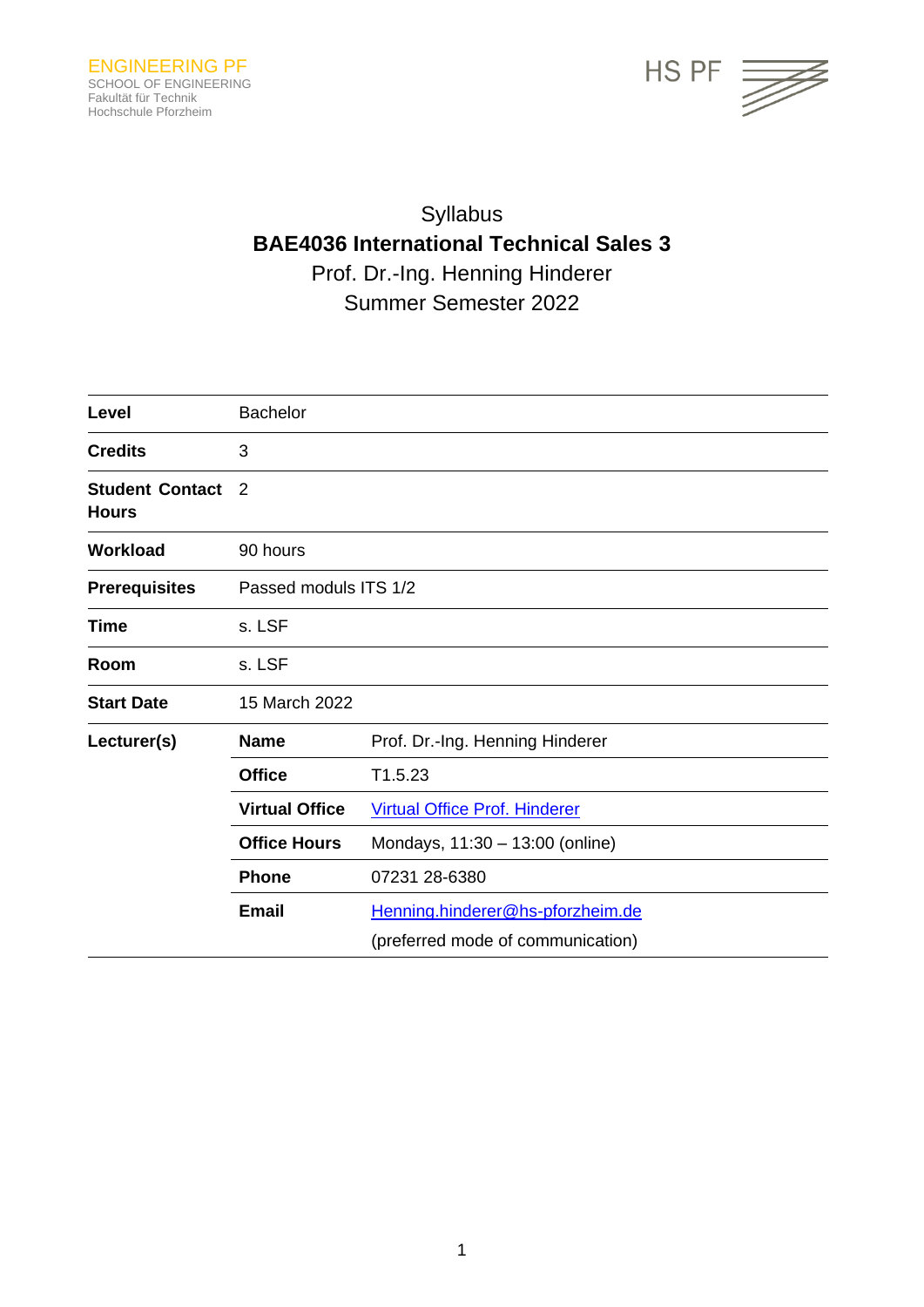

# Syllabus **BAE4036 International Technical Sales 3** Prof. Dr.-Ing. Henning Hinderer Summer Semester 2022

| Level                                  | <b>Bachelor</b>       |                                      |  |
|----------------------------------------|-----------------------|--------------------------------------|--|
| <b>Credits</b>                         | 3                     |                                      |  |
| <b>Student Contact</b><br><b>Hours</b> | 2                     |                                      |  |
| <b>Workload</b>                        | 90 hours              |                                      |  |
| <b>Prerequisites</b>                   | Passed moduls ITS 1/2 |                                      |  |
| <b>Time</b>                            | s. LSF                |                                      |  |
| Room                                   | s. LSF                |                                      |  |
| <b>Start Date</b>                      | 15 March 2022         |                                      |  |
| Lecturer(s)                            | <b>Name</b>           | Prof. Dr.-Ing. Henning Hinderer      |  |
|                                        | <b>Office</b>         | T1.5.23                              |  |
|                                        | <b>Virtual Office</b> | <b>Virtual Office Prof. Hinderer</b> |  |
|                                        | <b>Office Hours</b>   | Mondays, 11:30 - 13:00 (online)      |  |
|                                        | <b>Phone</b>          | 07231 28-6380                        |  |
|                                        | <b>Email</b>          | Henning.hinderer@hs-pforzheim.de     |  |
|                                        |                       | (preferred mode of communication)    |  |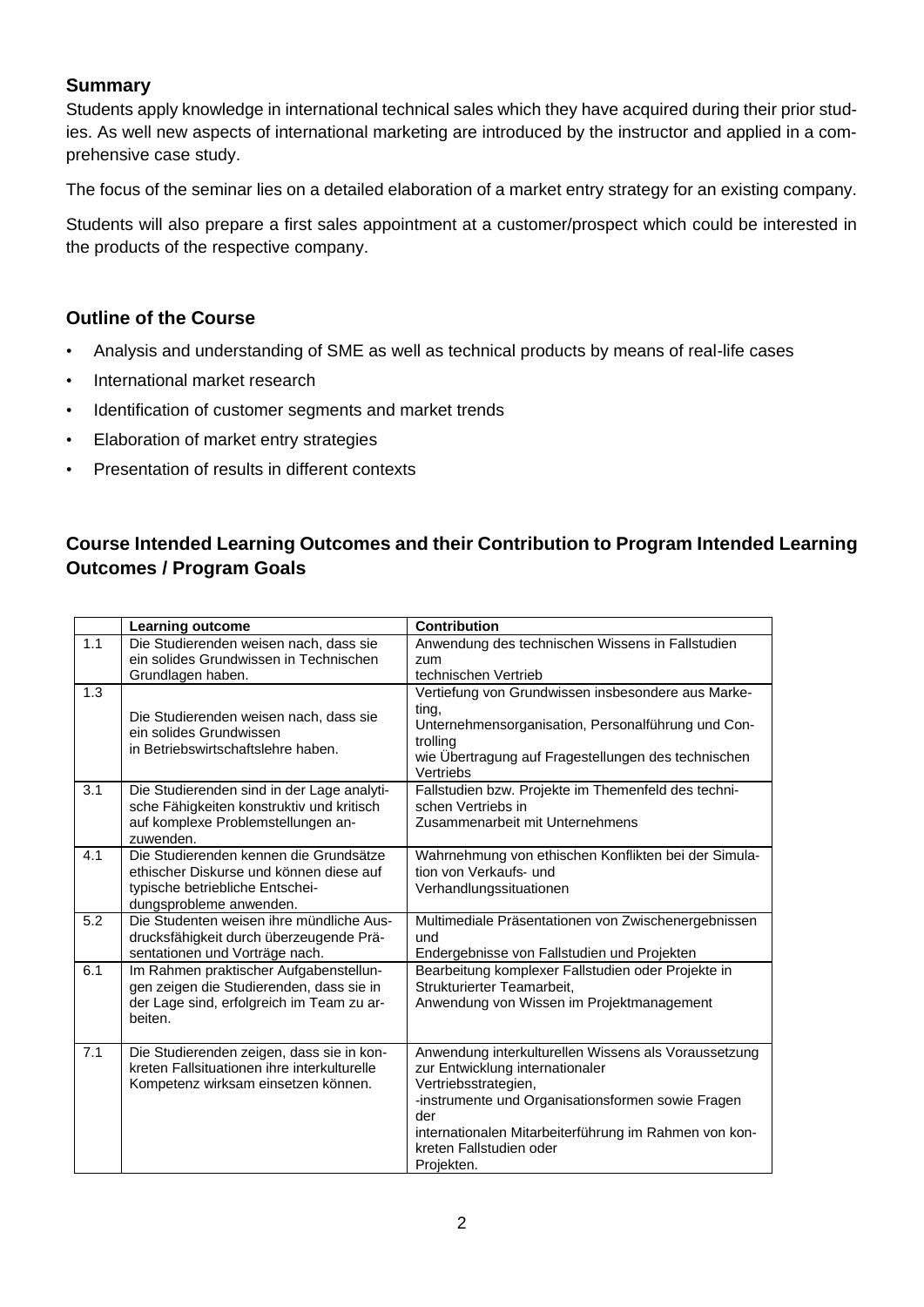## **Summary**

Students apply knowledge in international technical sales which they have acquired during their prior studies. As well new aspects of international marketing are introduced by the instructor and applied in a comprehensive case study.

The focus of the seminar lies on a detailed elaboration of a market entry strategy for an existing company.

Students will also prepare a first sales appointment at a customer/prospect which could be interested in the products of the respective company.

## **Outline of the Course**

- Analysis and understanding of SME as well as technical products by means of real-life cases
- International market research
- Identification of customer segments and market trends
- Elaboration of market entry strategies
- Presentation of results in different contexts

# **Course Intended Learning Outcomes and their Contribution to Program Intended Learning Outcomes / Program Goals**

|     | <b>Learning outcome</b>                                                                                                                         | <b>Contribution</b>                                                                                                                                                                                                                                                           |
|-----|-------------------------------------------------------------------------------------------------------------------------------------------------|-------------------------------------------------------------------------------------------------------------------------------------------------------------------------------------------------------------------------------------------------------------------------------|
| 1.1 | Die Studierenden weisen nach, dass sie                                                                                                          | Anwendung des technischen Wissens in Fallstudien                                                                                                                                                                                                                              |
|     | ein solides Grundwissen in Technischen<br>Grundlagen haben.                                                                                     | zum<br>technischen Vertrieb                                                                                                                                                                                                                                                   |
| 1.3 | Die Studierenden weisen nach, dass sie<br>ein solides Grundwissen<br>in Betriebswirtschaftslehre haben.                                         | Vertiefung von Grundwissen insbesondere aus Marke-<br>ting,<br>Unternehmensorganisation, Personalführung und Con-<br>trolling<br>wie Übertragung auf Fragestellungen des technischen<br>Vertriebs                                                                             |
| 3.1 | Die Studierenden sind in der Lage analyti-<br>sche Fähigkeiten konstruktiv und kritisch<br>auf komplexe Problemstellungen an-<br>zuwenden.      | Fallstudien bzw. Projekte im Themenfeld des techni-<br>schen Vertriebs in<br>Zusammenarbeit mit Unternehmens                                                                                                                                                                  |
| 4.1 | Die Studierenden kennen die Grundsätze<br>ethischer Diskurse und können diese auf<br>typische betriebliche Entschei-<br>dungsprobleme anwenden. | Wahrnehmung von ethischen Konflikten bei der Simula-<br>tion von Verkaufs- und<br>Verhandlungssituationen                                                                                                                                                                     |
| 5.2 | Die Studenten weisen ihre mündliche Aus-<br>drucksfähigkeit durch überzeugende Prä-<br>sentationen und Vorträge nach.                           | Multimediale Präsentationen von Zwischenergebnissen<br>und<br>Endergebnisse von Fallstudien und Projekten                                                                                                                                                                     |
| 6.1 | Im Rahmen praktischer Aufgabenstellun-<br>gen zeigen die Studierenden, dass sie in<br>der Lage sind, erfolgreich im Team zu ar-<br>beiten.      | Bearbeitung komplexer Fallstudien oder Projekte in<br>Strukturierter Teamarbeit,<br>Anwendung von Wissen im Projektmanagement                                                                                                                                                 |
| 7.1 | Die Studierenden zeigen, dass sie in kon-<br>kreten Fallsituationen ihre interkulturelle<br>Kompetenz wirksam einsetzen können.                 | Anwendung interkulturellen Wissens als Voraussetzung<br>zur Entwicklung internationaler<br>Vertriebsstrategien,<br>-instrumente und Organisationsformen sowie Fragen<br>der<br>internationalen Mitarbeiterführung im Rahmen von kon-<br>kreten Fallstudien oder<br>Projekten. |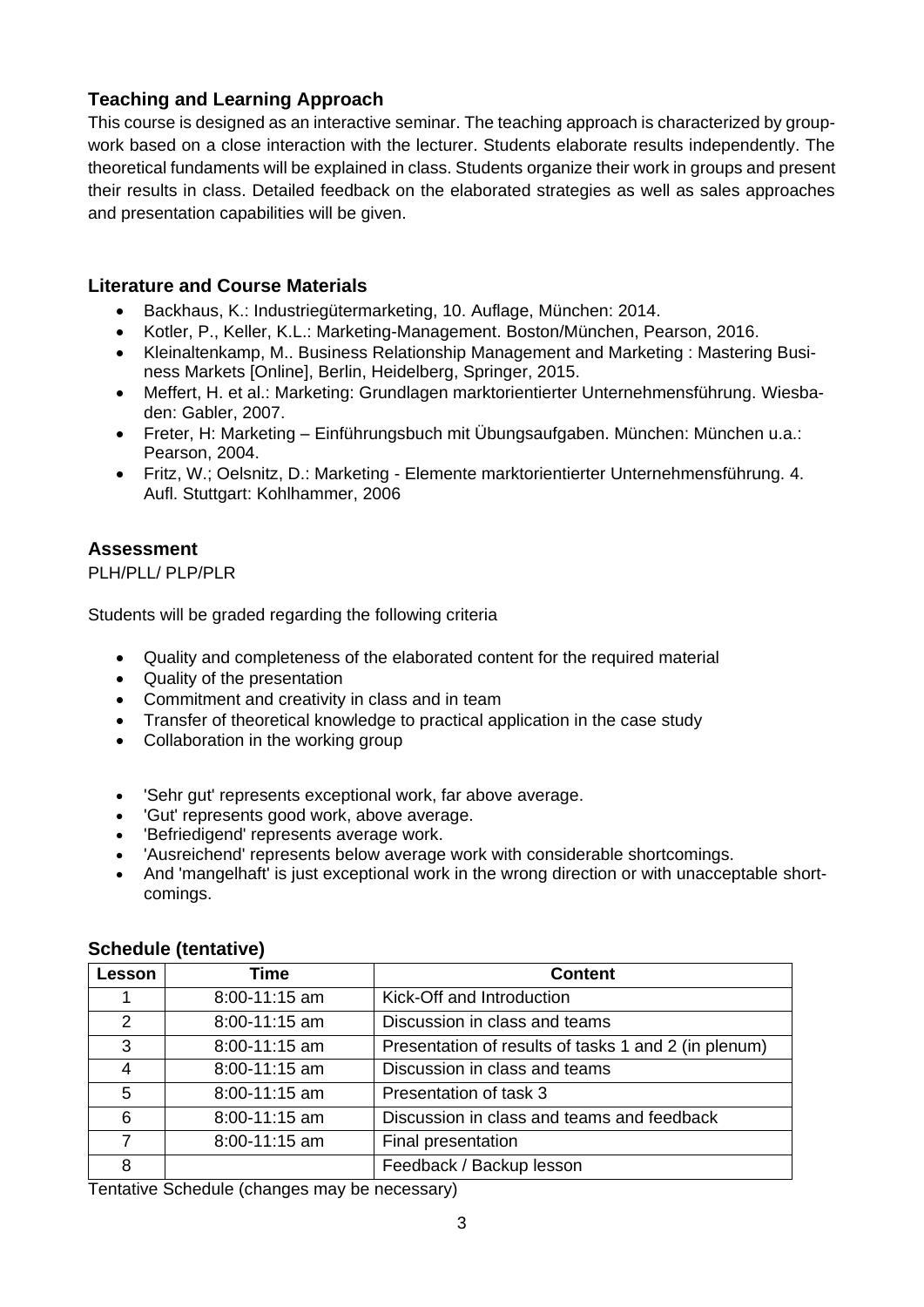# **Teaching and Learning Approach**

This course is designed as an interactive seminar. The teaching approach is characterized by groupwork based on a close interaction with the lecturer. Students elaborate results independently. The theoretical fundaments will be explained in class. Students organize their work in groups and present their results in class. Detailed feedback on the elaborated strategies as well as sales approaches and presentation capabilities will be given.

## **Literature and Course Materials**

- Backhaus, K.: Industriegütermarketing, 10. Auflage, München: 2014.
- Kotler, P., Keller, K.L.: Marketing-Management. Boston/München, Pearson, 2016.
- Kleinaltenkamp, M.. Business Relationship Management and Marketing : Mastering Business Markets [Online], Berlin, Heidelberg, Springer, 2015.
- Meffert, H. et al.: Marketing: Grundlagen marktorientierter Unternehmensführung. Wiesbaden: Gabler, 2007.
- Freter, H: Marketing Einführungsbuch mit Übungsaufgaben. München: München u.a.: Pearson, 2004.
- Fritz, W.; Oelsnitz, D.: Marketing Elemente marktorientierter Unternehmensführung. 4. Aufl. Stuttgart: Kohlhammer, 2006

#### **Assessment**

PLH/PLL/ PLP/PLR

Students will be graded regarding the following criteria

- Quality and completeness of the elaborated content for the required material
- Quality of the presentation
- Commitment and creativity in class and in team
- Transfer of theoretical knowledge to practical application in the case study
- Collaboration in the working group
- 'Sehr gut' represents exceptional work, far above average.
- 'Gut' represents good work, above average.
- 'Befriedigend' represents average work.
- 'Ausreichend' represents below average work with considerable shortcomings.
- And 'mangelhaft' is just exceptional work in the wrong direction or with unacceptable shortcomings.

| Lesson | Time              | <b>Content</b>                                       |
|--------|-------------------|------------------------------------------------------|
|        | $8:00 - 11:15$ am | Kick-Off and Introduction                            |
| 2      | 8:00-11:15 am     | Discussion in class and teams                        |
| 3      | $8:00-11:15$ am   | Presentation of results of tasks 1 and 2 (in plenum) |
| 4      | $8:00-11:15$ am   | Discussion in class and teams                        |
| 5      | $8:00-11:15$ am   | Presentation of task 3                               |
| 6      | $8:00 - 11:15$ am | Discussion in class and teams and feedback           |
| 7      | $8:00 - 11:15$ am | Final presentation                                   |
| 8      |                   | Feedback / Backup lesson                             |

#### **Schedule (tentative)**

Tentative Schedule (changes may be necessary)